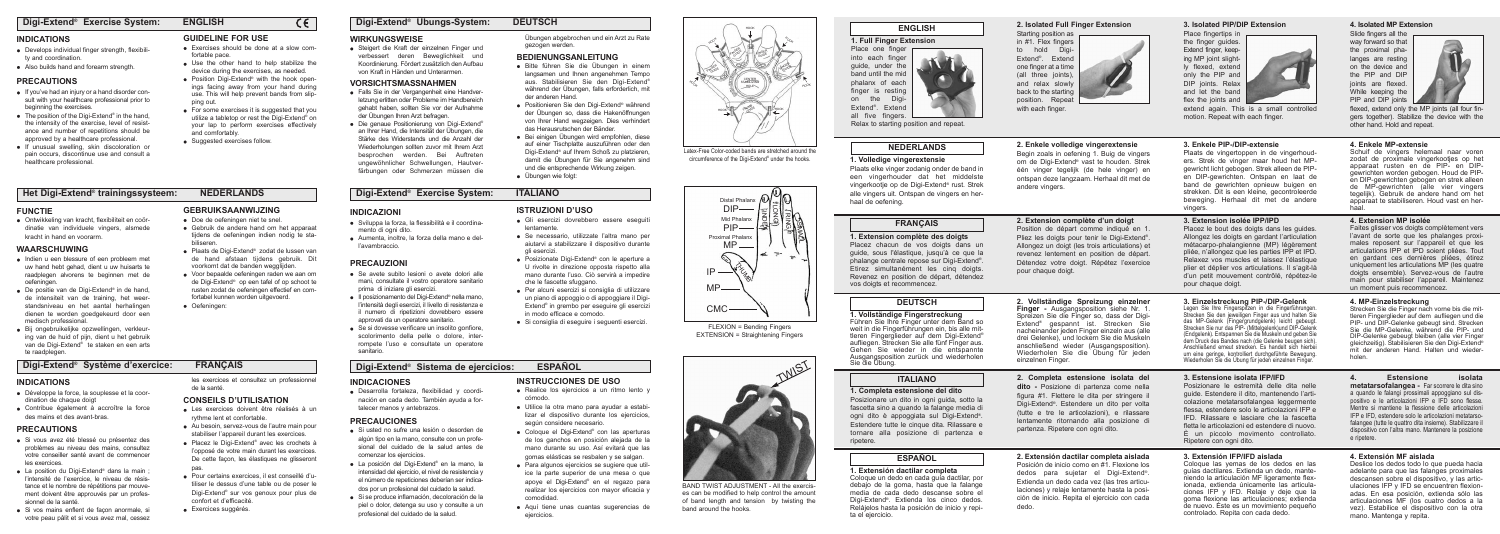# **1. Full Finger Extension**

Place one finger into each finger guide, under the band until the mid phalanx of each finger is resting on the Digi-Extend®. Extend all five fingers.

Relax to starting position and repeat.

# **NEDERLANDS**

# **ENGLISH**

m

# **1. Volledige vingerextensie**

Plaats elke vinger zodanig onder de band in een vingerhouder dat het middelste vingerkootje op de Digi-Extend® rust. Strek alle vingers uit. Ontspan de vingers en herhaal de oefening.

# **2. Enkele volledige vingerextensie**

Begin zoals in oefening 1. Buig de vingers om de Digi-Extend® vast te houden. Strek één vinger tegelijk (de hele vinger) en ontspan deze langzaam. Herhaal dit met de andere vingers.

#### **1. Extension complète des doigts**

Placez chacun de vos doigts dans un guide, sous l'élastique, jusqu'à ce que la phalange centrale repose sur Digi-Extend®. Etirez simultanément les cinq doigts. Revenez en position de départ, détendez vos doigts et recommencez.

# **2. Extension complète d'un doigt**

Posizionare un dito in ogni guida, sotto la fascetta sino a quando la falange media di ogni dito è appoggiata sul Digi-Extend®. Estendere tutte le cinque dita. Rilassare e tornare alla posizione di partenza e ripetere.

Position de départ comme indiqué en 1. Pliez les doigts pour tenir le Digi-Extend®. Allongez un doigt (les trois articulations) et revenez lentement en position de départ. Détendez votre doigt. Répétez l'exercice pour chaque doigt.

# **FRANÇAIS**

# **DEUTSCH**

**1. Vollständige Fingerstreckung** Führen Sie Ihre Finger unter dem Band so weit in die Fingerführungen ein, bis alle mittleren Fingerglieder auf dem Digi-Extend® aufliegen. Strecken Sie alle fünf Finger aus. Gehen Sie wieder in die entspannte Ausgangsposition zurück und wiederholen Sie die Übung.

# **2. Vollständige Spreizung einzelner**

**Finger -** Ausgangsposition siehe Nr. 1. Spreizen Sie die Finger so, dass der Digi-Extend® gespannt ist. Strecken Sie nacheinander jeden Finger einzeln aus (alle drei Gelenke), und lockern Sie die Muskeln anschließend wieder (Ausgangsposition). Wiederholen Sie die Übung für jeden einzelnen Finger.

# **ITALIANO**

# **1. Completa estensione del dito**

# **2. Completa estensione isolata del**

**dito -** Posizione di partenza come nella figura #1. Flettere le dita per stringere il Digi-Extend®. Estendere un dito per volta (tutte e tre le articolazioni), e rilassare lentamente ritornando alla posizione di partenza. Ripetere con ogni dito.

# **ESPAÑOL**

# **1. Extensión dactilar completa**

Coloque un dedo en cada guía dactilar, por debajo de la goma, hasta que la falange media de cada dedo descanse sobre el Digi-Extend®. Extienda los cinco dedos. Relájelos hasta la posición de inicio y repita el ejercicio.

# **2. Extensión dactilar completa aislada**

Posición de inicio como en #1. Flexione los dedos para sujetar el Digi-Extend®. Extienda un dedo cada vez (las tres articulaciones) y relaje lentamente hasta la posición de inicio. Repita el ejercicio con cada dedo.

# **3. Enkele PIP-/DIP-extensie**

Plaats de vingertoppen in de vingerhouders. Strek de vinger maar houd het MPgewricht licht gebogen. Strek alleen de PIPen DIP-gewrichten. Ontspan en laat de band de gewrichten opnieuw buigen en strekken. Dit is een kleine, gecontroleerde beweging. Herhaal dit met de andere vingers.

#### **3. Extension isolée IPP/IPD**

Placez le bout des doigts dans les guides. Allongez les doigts en gardant l'articulation métacarpo-phalangienne (MP) légèrement pliée, n'allongez que les parties IPP et IPD. Relaxez vos muscles et laissez l'élastique plier et déplier vos articulations. Il s'agit-là d'un petit mouvement contrôlé, répétez-le pour chaque doigt.

the finger guides. Extend finger, keeping MP joint slightly flexed, extend only the PIP and DIP joints. Relax and let the band flex the joints and

#### **3. Einzelstreckung PIP-/DIP-Gelenk**

flexed, extend only the MP joints (all four fingers together). Stabilize the device with the other hand. Hold and repeat.

Legen Sie Ihre Fingerspitzen in die Fingerführungen. Strecken Sie den jeweiligen Finger aus und halten Sie das MP-Gelenk (Fingergrundgelenk) leicht gebeugt. Strecken Sie nur das PIP- (Mittelgelenk)und DIP-Gelenk (Endgelenk). Entspannen Sie die Muskeln und geben Sie dem Druck des Bandes nach (die Gelenke beugen sich). Anschließend erneut strecken. Es handelt sich hierbei um eine geringe, kontrolliert durchgeführte Bewegung. Wiederholen Sie die Übung für jeden einzelnen Finger.

- **.** If you've had an injury or a hand disorder consult with your healthcare professional prior to beginning the exercises.
- $\bullet$  The position of the Digi-Extend<sup>®</sup> in the hand, the intensity of the exercise, level of resistance and number of repetitions should be approved by a healthcare professional.
- **.** If unusual swelling, skin discoloration or pain occurs, discontinue use and consult a healthcare professional.

# **3. Estensione isolata IFP/IFD**

Posizionare le estremità delle dita nelle guide. Estendere il dito, mantenendo l'articolazione metatarsofalangea leggermente flessa, estendere solo le articolazioni IFP e IFD. Rilassare e lasciare che la fascetta fletta le articolazioni ed estendere di nuovo. È un piccolo movimento controllato. Ripetere con ogni dito.

- l Bitte führen Sie die Übungen in einem langsamen und Ihnen angenehmen Tempo aus. Stabilisieren Sie den Digi-Extend® während der Übungen, falls erforderlich, mit der anderen Hand.
- Positionieren Sie den Digi-Extend® während der Übungen so, dass die Hakenöffnungen von Ihrer Hand wegzeigen. Dies verhindert das Herausrutschen der Bänder.
- Bei einigen Übungen wird empfohlen, diese auf einer Tischplatte auszuführen oder den Digi-Extend® auf Ihrem Schoß zu platzieren, damit die Übungen für Sie angenehm sind und die entsprechende Wirkung zeigen.
- Übungen wie folgt:

#### **3. Extensión IFP/IFD aislada**

Coloque las yemas de los dedos en las guías dactilares. Extienda un dedo, manteniendo la articulación MF ligeramente flexionada, extienda únicamente las articulaciones IFP y IFD. Relaje y deje que la goma flexione las articulaciones; extienda de nuevo. Éste es un movimiento pequeño controlado. Repita con cada dedo.

**•** Ontwikkeling van kracht, flexibiliteit en coördinatie van individuele vingers, alsmede

• Indien u een blessure of een probleem met uw hand hebt gehad, dient u uw huisarts te raadplegen alvorens te beginnen met de

■ De positie van de Digi-Extend® in de hand,

#### de intensiteit van de training, het weerstandsniveau en het aantal herhalingen dienen te worden goedgekeurd door een medisch professional. fortabel kunnen worden uitgevoerd. • Oefeningen:

#### **4. Enkele MP-extensie**

**•** Bij ongebruikelijke opzwellingen, verkleuring van de huid of pijn, dient u het gebruik van de Digi-Extend® te staken en een arts te raadplegen.

**GEBRUIKSAANWIJZING** • Doe de oefeningen niet te snel. Schuif de vingers helemaal naar voren zodat de proximale vingerkootjes op het apparaat rusten en de PIP- en DIPgewrichten worden gebogen. Houd de PIPen DIP-gewrichten gebogen en strek alleen de MP-gewrichten (alle vier vingers tegelijk). Gebruik de andere hand om het apparaat te stabiliseren. Houd vast en herhaal.

#### **4. Extension MP isolée**

#### ● Plaats de Digi-Extend<sup>®</sup> zodat de lussen van de hand afstaan tijdens gebruik. Dit voorkomt dat de banden wegglijden. • Voor bepaalde oefeningen raden we aan om de Digi-Extend® op een tafel of op schoot te **PRECAUZIONI**

- Il posizionamento del Digi-Extend<sup>®</sup> nella mano,
- 
- Se si dovesse verificare un insolito gonfiore,

Faites glisser vos doigts complètement vers l'avant de sorte que les phalanges proximales reposent sur l'appareil et que les articulations IPP et IPD soient pliées. Tout en gardant ces dernières pliées, étirez uniquement les articulations MP (les quatre doigts ensemble). Servez-vous de l'autre main pour stabiliser l'appareil. Maintenez un moment puis recommencez.

- **.** Sviluppa la forza, la flessibilità e il coordinamento di ogni dito.
- Aumenta, inoltre, la forza della mano e dell'avambraccio.
- Se avete subito lesioni o avete dolori alle mani, consultate il vostro operatore sanitario prima di iniziare gli esercizi.
- l'intensità degli esercizi, il livello di resistenza e il numero di ripetizioni dovrebbero essere approvati da un operatore sanitario.
- scolorimento della pelle o dolore, interrompete l'uso e consultate un operatore sanitario.

#### **4. MP-Einzelstreckung**

Strecken Sie die Finger nach vorne bis die mittleren Fingerglieder auf dem aufliegen und die PIP- und DIP-Gelenke gebeugt sind. Strecken Sie die MP-Gelenke, während die PIP- und DIP-Gelenke gebeugt bleiben (alle vier Finger gleichzeitig). Stabilisieren Sie den Digi-Extend® mit der anderen Hand. Halten und wiederholen.

# **4. Estensione isolata**

**metatarsofalangea -** Far scorrere le dita sino a quando le falangi prossimali appoggiano sul dispositivo e le articolazioni IFP e IFD sono flesse. Mentre si mantiene la flessione delle articolazioni IFP e IFD, estendere solo le articolazioni metatarsofalangee (tutte le quattro dita insieme). Stabilizzare il dispositivo con l'altra mano. Mantenere la posizione e ripetere.

**CONSEILS D'UTILISATION**  • Les exercices doivent être réalisés à un

 $\bullet$  Au besoin, servez-vous de l'autre main pour stabiliser l'appareil durant les exercices. ● Placez le Digi-Extend® avec les crochets à l'opposé de votre main durant les exercices. De cette façon, les élastiques ne glisseront

#### **4. Extensión MF aislada**

confort et d'efficacité. **·** Exercices suggérés.

• Desarrolla fortaleza, flexibilidad y coordinación en cada dedo. También ayuda a fortalecer manos y antebrazos.

> Deslice los dedos todo lo que pueda hacia adelante para que las falanges proximales descansen sobre el dispositivo, y las articulaciones IFP y IFD se encuentren flexionadas. En esa posición, extienda sólo las articulaciones MF (los cuatro dedos a la vez). Estabilice el dispositivo con la otra mano. Mantenga y repita.

# **2. Isolated Full Finger Extension**

- Si usted no sufre una lesión o desorden de algún tipo en la mano, consulte con un profesional del cuidado de la salud antes de comenzar los ejercicios.
- La posición del Digi-Extend® en la mano, la intensidad del ejercicio, el nivel de resistencia y el número de repeticiones deberían ser indicados por un profesional del cuidado la salud.
- l Si se produce inflamación, decoloración de la piel o dolor, detenga su uso y consulte a un profesional del cuidado de la salud.



in #1. Flex fingers to hold Digi-Extend®. Extend one finger at a time (all three joints) and relax slowly back to the starting position. Repeat

# **3. Isolated PIP/DIP Extension**

Place fingertips in

FINGER **GUIDE** 

> **ANGER** GUIDE

CENTER STABILIZING **HOLE** 

> extend again. This is a small controlled motion. Repeat with each finger.

# **4. Isolated MP Extension**

Slide fingers all the way forward so that the proximal phalanges are resting on the device and the PIP and DIP joints are flexed. While keeping the PIP and DIP joints



• Steigert die Kraft der einzelnen Finger und verbessert deren Beweglichkeit und Koordinierung. Fördert zusätzlich den Aufbau von Kraft in Händen und Unterarmen.

# **Digi-Extend® Exercise System: ENGLISH**

#### **INDICATIONS**

- Develops individual finger strength, flexibility and coordination.
- Also builds hand and forearm strength.

- Falls Sie in der Vergangenheit eine Handverletzung erlitten oder Probleme im Handbereich gehabt haben, sollten Sie vor der Aufnahme der Übungen Ihren Arzt befragen.
- Die genaue Positionierung von Digi-Extend® an Ihrer Hand, die Intensität der Übungen, die Stärke des Widerstands und die Anzahl der Wiederholungen sollten zuvor mit Ihrem Arzt besprochen werden. Bei Auftreten ungewöhnlicher Schwellungen, Hautverfärbungen oder Schmerzen müssen die

# **PRECAUTIONS**

# **GUIDELINE FOR USE**

 $\epsilon$ 



# **Digi-Extend® Übungs-System: DEUTSCH**

Übungen abgebrochen und ein Arzt zu Rate gezogen werden.

# **BEDIENUNGSANLEITUNG**

**Het Digi-Extend® trainingssysteem: NEDERLANDS**

**FUNCTIE**

kracht in hand en voorarm. **WAARSCHUWING**

- Exercises should be done at a slow comfortable pace.
- Use the other hand to help stabilize the device during the exercises, as needed.
- Position Digi-Extend<sup>®</sup> with the hook openings facing away from your hand during use. This will help prevent bands from slipping out.
- For some exercises it is suggested that you utilize a tabletop or rest the Digi-Extend® on your lap to perform exercises effectively and comfortably.
- Suggested exercises follow.

oefeningen.

l Gebruik de andere hand om het apparaat tijdens de oefeningen indien nodig te sta-

biliseren.

rusten zodat de oefeningen effectief en com-

# **Digi-Extend® Exercise System: ITALIANO**

# **INDICAZIONI**

# **ISTRUZIONI D'USO**

- **•** Gli esercizi dovrebbero essere eseguiti lentamente.
- l Se necessario, utilizzate l'altra mano per aiutarvi a stabilizzare il dispositivo durante gli esercizi.
- Posizionate Digi-Extend® con le aperture a U rivolte in direzione opposta rispetto alla mano durante l'uso. Ciò servirà a impedire che le fascette sfuggano.
- Per alcuni esercizi si consiglia di utilizzare un piano di appoggio o di appoggiare il Digi-Extend® in grembo per eseguire gli esercizi in modo efficace e comodo.
- **•** Si consiglia di eseguire i seguenti esercizi.

# **Digi-Extend® Système d'exercice: FRANÇAIS**

# **INDICATIONS**

- l Développe la force, la souplesse et la coordination de chaque doigt
- Contribue également à accroître la force des mains et des avant-bras.

# **PRECAUTIONS**

- l Si vous avez été blessé ou présentez des problèmes au niveau des mains, consultez votre conseiller santé avant de commencer les exercices.
- $\bullet$  La position du Digi-Extend® dans la main l'intensité de l'exercice, le niveau de résistance et le nombre de répétitions par mouvement doivent être approuvés par un professionnel de la santé.
- Si vos mains enflent de facon anormale, si votre peau pâlit et si vous avez mal, cessez

les exercices et consultez un professionnel

de la santé.

rythme lent et confortable.

pas.

l Pour certains exercices, il est conseillé d'utiliser le dessus d'une table ou de poser le Digi-Extend® sur vos genoux pour plus de

# **Digi-Extend® Sistema de ejercicios: ESPAÑOL**

#### **INDICACIONES**

# **PRECAUCIONES**

# **INSTRUCCIONES DE USO**

- Realice los ejercicios a un ritmo lento y cómodo.
- Utilice la otra mano para ayudar a estabilizar el dispositivo durante los ejercicios, según considere necesario.
- Coloque el Digi-Extend<sup>®</sup> con las aperturas de los ganchos en posición alejada de la mano durante su uso. Así evitará que las gomas elásticas se resbalen y se salgan.
- Para algunos ejercicios se sugiere que utilice la parte superior de una mesa o que apoye el Digi-Extend® en el regazo para realizar los ejercicios con mayor eficacia y comodidad.
- l Aquí tiene unas cuantas sugerencias de ejercicios.

Latex-Free Color-coded bands are stretched around the circumference of the Digi-Extend® under the hooks. DIP- $PIP$ Distal Phalanx Mid Phalanx Proximal Phalanx INDEX LONG RING

THUMB **GUIDE** 

HOOK

FINGER GUIDE<br>GUIDE HOOK

HOOK

HOOK

HOOK

SMARIT

FLEXION = Bending Fingers EXTENSION = Straightening Fingers

FINGER<br>FINGER **GUIDE** 



 $CMC$  —



BAND TWIST ADJUSTMENT - All the exercises can be modified to help control the amount of band length and tension by twisting the band around the hooks.

# **WIRKUNGSWEISE**

# **VORSICHTSMASSNAHMEN**

HOOK

<sup>HO</sup>O<sub>A</sub>